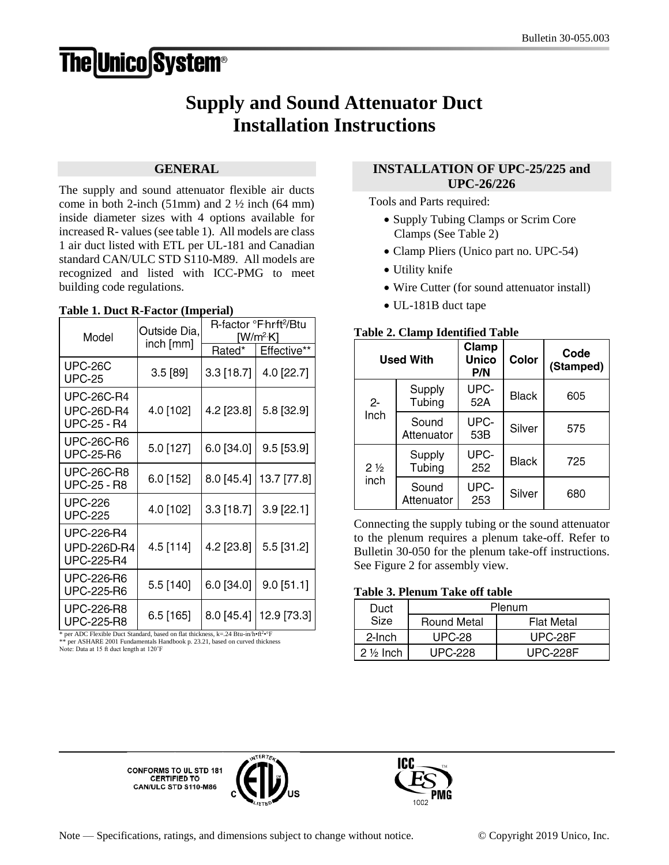# **The Unico System®**

# **Supply and Sound Attenuator Duct Installation Instructions**

### **GENERAL**

The supply and sound attenuator flexible air ducts come in both 2-inch (51mm) and  $2\frac{1}{2}$  inch (64 mm) inside diameter sizes with 4 options available for increased R- values (see table 1). All models are class 1 air duct listed with ETL per UL-181 and Canadian standard CAN/ULC STD S110-M89. All models are recognized and listed with ICC-PMG to meet building code regulations.

#### **Table 1. Duct R-Factor (Imperial)**

| Model                                                        | Outside Dia,<br>inch [mm] | R-factor °F hrft <sup>2</sup> /Btu<br>[W/m²·K] |              |
|--------------------------------------------------------------|---------------------------|------------------------------------------------|--------------|
|                                                              |                           | Rated*                                         | Effective**  |
| <b>UPC-26C</b><br><b>UPC-25</b>                              | 3.5[89]                   | $3.3$ [18.7]                                   | 4.0 [22.7]   |
| <b>UPC-26C-R4</b><br><b>UPC-26D-R4</b><br><b>UPC-25 - R4</b> | 4.0 [102]                 | 4.2 [23.8]                                     | 5.8 [32.9]   |
| <b>UPC-26C-R6</b><br><b>UPC-25-R6</b>                        | 5.0 [127]                 | 6.0 [34.0]                                     | $9.5$ [53.9] |
| <b>UPC-26C-R8</b><br><b>UPC-25 - R8</b>                      | 6.0 [152]                 | 8.0 [45.4]                                     | 13.7 [77.8]  |
| <b>UPC-226</b><br><b>UPC-225</b>                             | 4.0 [102]                 | $3.3$ [18.7]                                   | 3.9 [22.1]   |
| <b>UPC-226-R4</b><br>UPD-226D-R4<br><b>UPC-225-R4</b>        | 4.5 [114]                 | 4.2 [23.8]                                     | 5.5 [31.2]   |
| <b>UPC-226-R6</b><br><b>UPC-225-R6</b>                       | 5.5 [140]                 | 6.0 [34.0]                                     | $9.0$ [51.1] |
| UPC-226-R8<br><b>UPC-225-R8</b>                              | 6.5 [165]                 | 8.0 [45.4]                                     | 12.9 [73.3]  |

\* per ADC Flexible Duct Standard, based on flat thickness, k=.24 Btu-in/h•ft<sup>2</sup> •°F \*\* per ASHARE 2001 Fundamentals Handbook p. 23.21, based on curved thickness Note: Data at 15 ft duct length at 120˚F

# **INSTALLATION OF UPC-25/225 and UPC-26/226**

Tools and Parts required:

- Supply Tubing Clamps or Scrim Core Clamps (See Table 2)
- Clamp Pliers (Unico part no. UPC-54)
- Utility knife
- Wire Cutter (for sound attenuator install)
- UL-181B duct tape

### **Table 2. Clamp Identified Table**

| <b>Used With</b>       |                     | Clamp<br>Unico<br>P/N | Color        | Code<br>(Stamped) |
|------------------------|---------------------|-----------------------|--------------|-------------------|
| $2 -$<br>Inch          | Supply<br>Tubing    | UPC-<br>52A           | <b>Black</b> | 605               |
|                        | Sound<br>Attenuator | UPC-<br>53B           | Silver       | 575               |
| $2\frac{1}{2}$<br>inch | Supply<br>Tubing    | UPC-<br>252           | <b>Black</b> | 725               |
|                        | Sound<br>Attenuator | UPC-<br>253           | Silver       | 680               |

Connecting the supply tubing or the sound attenuator to the plenum requires a plenum take-off. Refer to Bulletin 30-050 for the plenum take-off instructions. See Figure 2 for assembly view.

# **Table 3. Plenum Take off table**

| Duct                | Plenum             |                   |  |
|---------------------|--------------------|-------------------|--|
| Size                | <b>Round Metal</b> | <b>Flat Metal</b> |  |
| 2-Inch              | <b>UPC-28</b>      | UPC-28F           |  |
| $2\frac{1}{2}$ Inch | UPC-228            | UPC-228F          |  |

**CONFORMS TO UL STD 181** CERTIFIED TO<br>CAN/ULC STD S110-M86



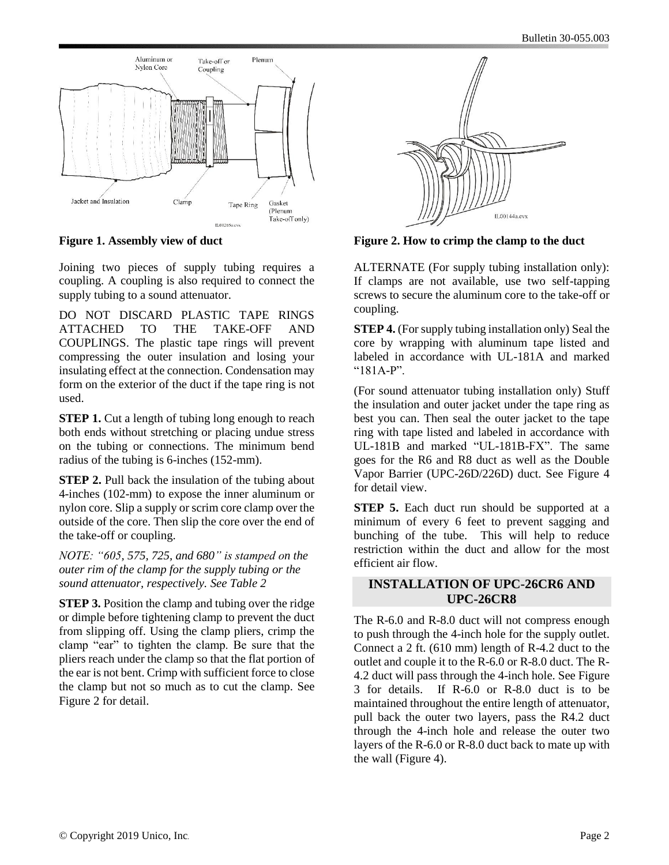

**Figure 1. Assembly view of duct**

Joining two pieces of supply tubing requires a coupling. A coupling is also required to connect the supply tubing to a sound attenuator.

DO NOT DISCARD PLASTIC TAPE RINGS ATTACHED TO THE TAKE-OFF AND COUPLINGS. The plastic tape rings will prevent compressing the outer insulation and losing your insulating effect at the connection. Condensation may form on the exterior of the duct if the tape ring is not used.

**STEP 1.** Cut a length of tubing long enough to reach both ends without stretching or placing undue stress on the tubing or connections. The minimum bend radius of the tubing is 6-inches (152-mm).

**STEP 2.** Pull back the insulation of the tubing about 4-inches (102-mm) to expose the inner aluminum or nylon core. Slip a supply or scrim core clamp over the outside of the core. Then slip the core over the end of the take-off or coupling.

*NOTE: "605, 575, 725, and 680" is stamped on the outer rim of the clamp for the supply tubing or the sound attenuator, respectively. See Table 2*

**STEP 3.** Position the clamp and tubing over the ridge or dimple before tightening clamp to prevent the duct from slipping off. Using the clamp pliers, crimp the clamp "ear" to tighten the clamp. Be sure that the pliers reach under the clamp so that the flat portion of the ear is not bent. Crimp with sufficient force to close the clamp but not so much as to cut the clamp. See Figure 2 for detail.



**Figure 2. How to crimp the clamp to the duct**

ALTERNATE (For supply tubing installation only): If clamps are not available, use two self-tapping screws to secure the aluminum core to the take-off or coupling.

**STEP 4.** (For supply tubing installation only) Seal the core by wrapping with aluminum tape listed and labeled in accordance with UL-181A and marked  $"181A-P"$ 

(For sound attenuator tubing installation only) Stuff the insulation and outer jacket under the tape ring as best you can. Then seal the outer jacket to the tape ring with tape listed and labeled in accordance with UL-181B and marked "UL-181B-FX". The same goes for the R6 and R8 duct as well as the Double Vapor Barrier (UPC-26D/226D) duct. See Figure 4 for detail view.

**STEP 5.** Each duct run should be supported at a minimum of every 6 feet to prevent sagging and bunching of the tube. This will help to reduce restriction within the duct and allow for the most efficient air flow.

#### **INSTALLATION OF UPC-26CR6 AND UPC-26CR8**

The R-6.0 and R-8.0 duct will not compress enough to push through the 4-inch hole for the supply outlet. Connect a 2 ft. (610 mm) length of R-4.2 duct to the outlet and couple it to the R-6.0 or R-8.0 duct. The R-4.2 duct will pass through the 4-inch hole. See Figure 3 for details. If R-6.0 or R-8.0 duct is to be maintained throughout the entire length of attenuator, pull back the outer two layers, pass the R4.2 duct through the 4-inch hole and release the outer two layers of the R-6.0 or R-8.0 duct back to mate up with the wall (Figure 4).